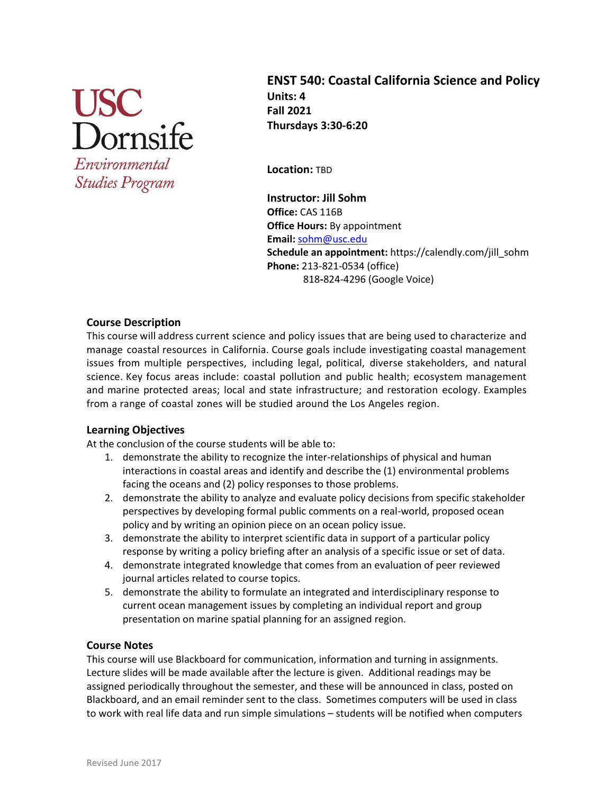

Environmental **Studies Program** 

**ENST 540: Coastal California Science and Policy Units: 4 Fall 2021 Thursdays 3:30-6:20**

**Location:** TBD

**Instructor: Jill Sohm Office:** CAS 116B **Office Hours:** By appointment **Email:** [sohm@usc.edu](mailto:sohm@usc.edu) **Schedule an appointment:** https://calendly.com/jill\_sohm **Phone:** 213-821-0534 (office) 818**-**824-4296 (Google Voice)

## **Course Description**

This course will address current science and policy issues that are being used to characterize and manage coastal resources in California. Course goals include investigating coastal management issues from multiple perspectives, including legal, political, diverse stakeholders, and natural science. Key focus areas include: coastal pollution and public health; ecosystem management and marine protected areas; local and state infrastructure; and restoration ecology. Examples from a range of coastal zones will be studied around the Los Angeles region.

## **Learning Objectives**

At the conclusion of the course students will be able to:

- 1. demonstrate the ability to recognize the inter-relationships of physical and human interactions in coastal areas and identify and describe the (1) environmental problems facing the oceans and (2) policy responses to those problems.
- 2. demonstrate the ability to analyze and evaluate policy decisions from specific stakeholder perspectives by developing formal public comments on a real-world, proposed ocean policy and by writing an opinion piece on an ocean policy issue.
- 3. demonstrate the ability to interpret scientific data in support of a particular policy response by writing a policy briefing after an analysis of a specific issue or set of data.
- 4. demonstrate integrated knowledge that comes from an evaluation of peer reviewed journal articles related to course topics.
- 5. demonstrate the ability to formulate an integrated and interdisciplinary response to current ocean management issues by completing an individual report and group presentation on marine spatial planning for an assigned region.

## **Course Notes**

This course will use Blackboard for communication, information and turning in assignments. Lecture slides will be made available after the lecture is given. Additional readings may be assigned periodically throughout the semester, and these will be announced in class, posted on Blackboard, and an email reminder sent to the class. Sometimes computers will be used in class to work with real life data and run simple simulations – students will be notified when computers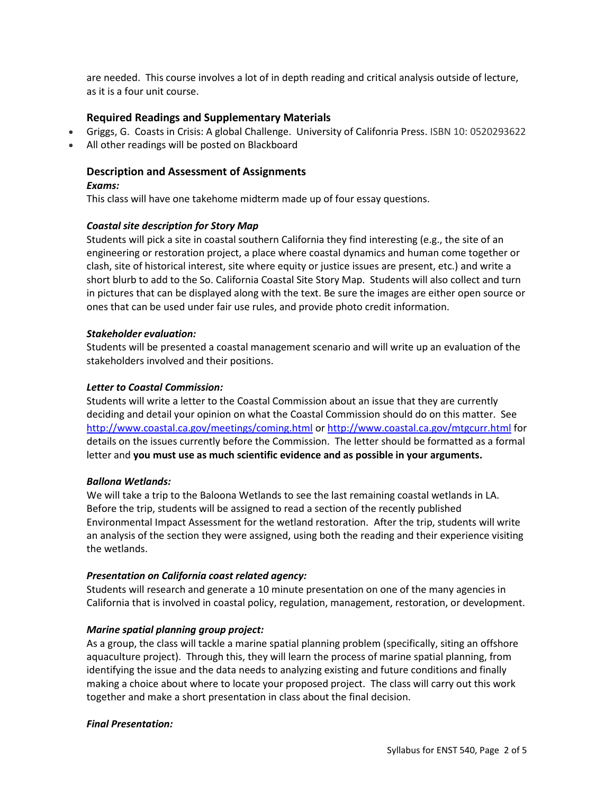are needed. This course involves a lot of in depth reading and critical analysis outside of lecture, as it is a four unit course.

## **Required Readings and Supplementary Materials**

- Griggs, G. Coasts in Crisis: A global Challenge. University of Califonria Press. ISBN 10: 0520293622
- All other readings will be posted on Blackboard

## **Description and Assessment of Assignments**

### *Exams:*

This class will have one takehome midterm made up of four essay questions.

## *Coastal site description for Story Map*

Students will pick a site in coastal southern California they find interesting (e.g., the site of an engineering or restoration project, a place where coastal dynamics and human come together or clash, site of historical interest, site where equity or justice issues are present, etc.) and write a short blurb to add to the So. California Coastal Site Story Map. Students will also collect and turn in pictures that can be displayed along with the text. Be sure the images are either open source or ones that can be used under fair use rules, and provide photo credit information.

## *Stakeholder evaluation:*

Students will be presented a coastal management scenario and will write up an evaluation of the stakeholders involved and their positions.

## *Letter to Coastal Commission:*

Students will write a letter to the Coastal Commission about an issue that they are currently deciding and detail your opinion on what the Coastal Commission should do on this matter. See <http://www.coastal.ca.gov/meetings/coming.html> o[r http://www.coastal.ca.gov/mtgcurr.html](http://www.coastal.ca.gov/mtgcurr.html) for details on the issues currently before the Commission. The letter should be formatted as a formal letter and **you must use as much scientific evidence and as possible in your arguments.** 

## *Ballona Wetlands:*

We will take a trip to the Baloona Wetlands to see the last remaining coastal wetlands in LA. Before the trip, students will be assigned to read a section of the recently published Environmental Impact Assessment for the wetland restoration. After the trip, students will write an analysis of the section they were assigned, using both the reading and their experience visiting the wetlands.

## *Presentation on California coast related agency:*

Students will research and generate a 10 minute presentation on one of the many agencies in California that is involved in coastal policy, regulation, management, restoration, or development.

## *Marine spatial planning group project:*

As a group, the class will tackle a marine spatial planning problem (specifically, siting an offshore aquaculture project). Through this, they will learn the process of marine spatial planning, from identifying the issue and the data needs to analyzing existing and future conditions and finally making a choice about where to locate your proposed project. The class will carry out this work together and make a short presentation in class about the final decision.

## *Final Presentation:*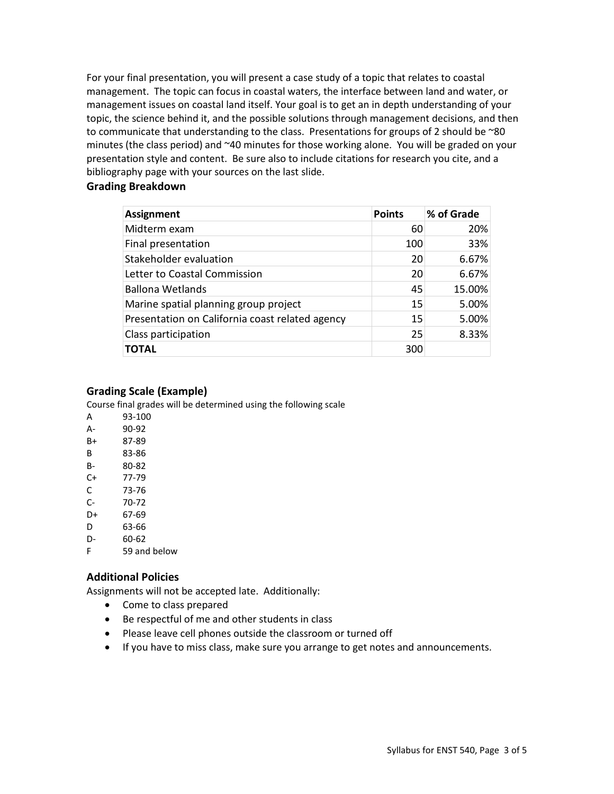For your final presentation, you will present a case study of a topic that relates to coastal management. The topic can focus in coastal waters, the interface between land and water, or management issues on coastal land itself. Your goal is to get an in depth understanding of your topic, the science behind it, and the possible solutions through management decisions, and then to communicate that understanding to the class. Presentations for groups of 2 should be ~80 minutes (the class period) and ~40 minutes for those working alone. You will be graded on your presentation style and content. Be sure also to include citations for research you cite, and a bibliography page with your sources on the last slide.

## **Grading Breakdown**

| <b>Assignment</b>                               | <b>Points</b> | % of Grade |
|-------------------------------------------------|---------------|------------|
| Midterm exam                                    | 60            | 20%        |
| Final presentation                              | 100           | 33%        |
| Stakeholder evaluation                          | 20            | 6.67%      |
| Letter to Coastal Commission                    | 20            | 6.67%      |
| <b>Ballona Wetlands</b>                         | 45            | 15.00%     |
| Marine spatial planning group project           | 15            | 5.00%      |
| Presentation on California coast related agency | 15            | 5.00%      |
| Class participation                             | 25            | 8.33%      |
| <b>TOTAL</b>                                    | 300           |            |

## **Grading Scale (Example)**

Course final grades will be determined using the following scale

- A 93-100 A- 90-92 B+ 87-89 B 83-86 B- 80-82 C+ 77-79
- C 73-76
- C- 70-72
- D+ 67-69
- D 63-66
- D- 60-62
- F 59 and below

## **Additional Policies**

Assignments will not be accepted late. Additionally:

- Come to class prepared
- Be respectful of me and other students in class
- Please leave cell phones outside the classroom or turned off
- If you have to miss class, make sure you arrange to get notes and announcements.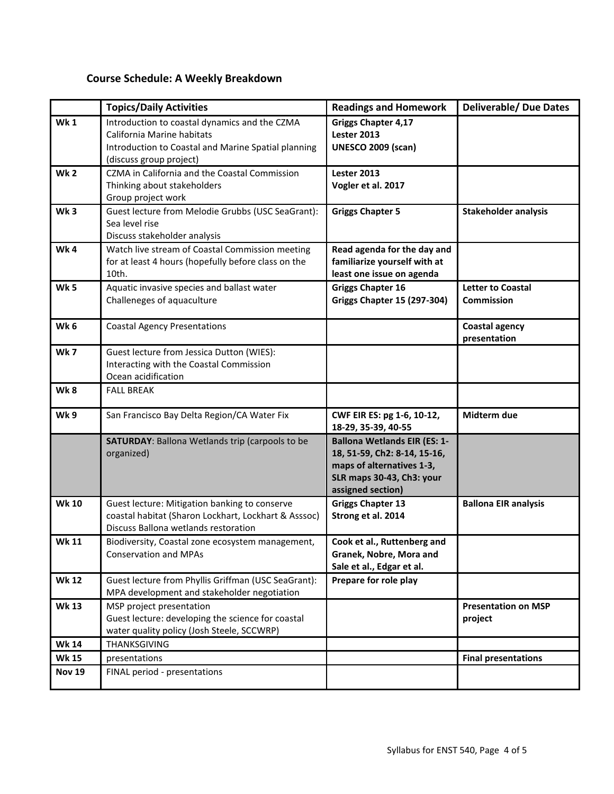# **Course Schedule: A Weekly Breakdown**

|                 | <b>Topics/Daily Activities</b>                                                                                                                                | <b>Readings and Homework</b>                                                                                                                       | <b>Deliverable/ Due Dates</b>                 |
|-----------------|---------------------------------------------------------------------------------------------------------------------------------------------------------------|----------------------------------------------------------------------------------------------------------------------------------------------------|-----------------------------------------------|
| <b>Wk1</b>      | Introduction to coastal dynamics and the CZMA<br>California Marine habitats<br>Introduction to Coastal and Marine Spatial planning<br>(discuss group project) | <b>Griggs Chapter 4,17</b><br>Lester 2013<br><b>UNESCO 2009 (scan)</b>                                                                             |                                               |
| Wk <sub>2</sub> | CZMA in California and the Coastal Commission<br>Thinking about stakeholders<br>Group project work                                                            | Lester 2013<br>Vogler et al. 2017                                                                                                                  |                                               |
| Wk <sub>3</sub> | Guest lecture from Melodie Grubbs (USC SeaGrant):<br>Sea level rise<br>Discuss stakeholder analysis                                                           | <b>Griggs Chapter 5</b>                                                                                                                            | <b>Stakeholder analysis</b>                   |
| Wk4             | Watch live stream of Coastal Commission meeting<br>for at least 4 hours (hopefully before class on the<br>10th.                                               | Read agenda for the day and<br>familiarize yourself with at<br>least one issue on agenda                                                           |                                               |
| <b>Wk 5</b>     | Aquatic invasive species and ballast water<br>Challeneges of aquaculture                                                                                      | <b>Griggs Chapter 16</b><br><b>Griggs Chapter 15 (297-304)</b>                                                                                     | <b>Letter to Coastal</b><br><b>Commission</b> |
| Wk <sub>6</sub> | <b>Coastal Agency Presentations</b>                                                                                                                           |                                                                                                                                                    | <b>Coastal agency</b><br>presentation         |
| <b>Wk 7</b>     | Guest lecture from Jessica Dutton (WIES):<br>Interacting with the Coastal Commission<br>Ocean acidification                                                   |                                                                                                                                                    |                                               |
| Wk8             | <b>FALL BREAK</b>                                                                                                                                             |                                                                                                                                                    |                                               |
| Wk9             | San Francisco Bay Delta Region/CA Water Fix                                                                                                                   | CWF EIR ES: pg 1-6, 10-12,<br>18-29, 35-39, 40-55                                                                                                  | Midterm due                                   |
|                 | SATURDAY: Ballona Wetlands trip (carpools to be<br>organized)                                                                                                 | <b>Ballona Wetlands EIR (ES: 1-</b><br>18, 51-59, Ch2: 8-14, 15-16,<br>maps of alternatives 1-3,<br>SLR maps 30-43, Ch3: your<br>assigned section) |                                               |
| <b>Wk 10</b>    | Guest lecture: Mitigation banking to conserve<br>coastal habitat (Sharon Lockhart, Lockhart & Asssoc)<br>Discuss Ballona wetlands restoration                 | <b>Griggs Chapter 13</b><br>Strong et al. 2014                                                                                                     | <b>Ballona EIR analysis</b>                   |
| <b>Wk 11</b>    | Biodiversity, Coastal zone ecosystem management,<br><b>Conservation and MPAs</b>                                                                              | Cook et al., Ruttenberg and<br>Granek, Nobre, Mora and<br>Sale et al., Edgar et al.                                                                |                                               |
| <b>Wk 12</b>    | Guest lecture from Phyllis Griffman (USC SeaGrant):<br>MPA development and stakeholder negotiation                                                            | Prepare for role play                                                                                                                              |                                               |
| <b>Wk 13</b>    | MSP project presentation<br>Guest lecture: developing the science for coastal<br>water quality policy (Josh Steele, SCCWRP)                                   |                                                                                                                                                    | <b>Presentation on MSP</b><br>project         |
| <b>Wk 14</b>    | THANKSGIVING                                                                                                                                                  |                                                                                                                                                    |                                               |
| <b>Wk 15</b>    | presentations                                                                                                                                                 |                                                                                                                                                    | <b>Final presentations</b>                    |
| <b>Nov 19</b>   | FINAL period - presentations                                                                                                                                  |                                                                                                                                                    |                                               |